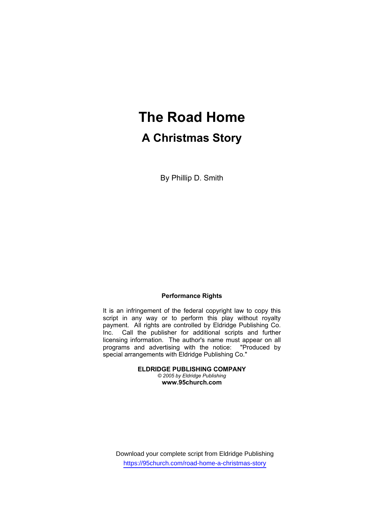# **The Road Home A Christmas Story**

By Phillip D. Smith

## **Performance Rights**

It is an infringement of the federal copyright law to copy this script in any way or to perform this play without royalty payment. All rights are controlled by Eldridge Publishing Co. Inc. Call the publisher for additional scripts and further licensing information. The author's name must appear on all programs and advertising with the notice: "Produced by special arrangements with Eldridge Publishing Co."

> **ELDRIDGE PUBLISHING COMPANY**  *© 2005 by Eldridge Publishing* **www.95church.com**

Download your complete script from Eldridge Publishing https://95church.com/road-home-a-christmas-story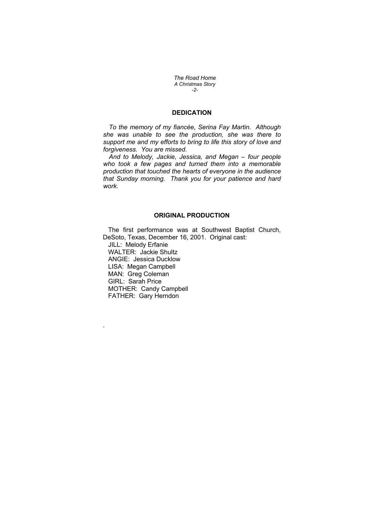*The Road Home A Christmas Story -2-* 

# **DEDICATION**

*To the memory of my fiancée, Serina Fay Martin. Although she was unable to see the production, she was there to support me and my efforts to bring to life this story of love and forgiveness. You are missed.* 

*And to Melody, Jackie, Jessica, and Megan – four people who took a few pages and turned them into a memorable production that touched the hearts of everyone in the audience that Sunday morning. Thank you for your patience and hard work.* 

#### **ORIGINAL PRODUCTION**

 The first performance was at Southwest Baptist Church, DeSoto, Texas, December 16, 2001. Original cast: JILL: Melody Erfanie WALTER: Jackie Shultz ANGIE: Jessica Ducklow LISA: Megan Campbell MAN: Greg Coleman GIRL: Sarah Price MOTHER: Candy Campbell FATHER: Gary Herndon

.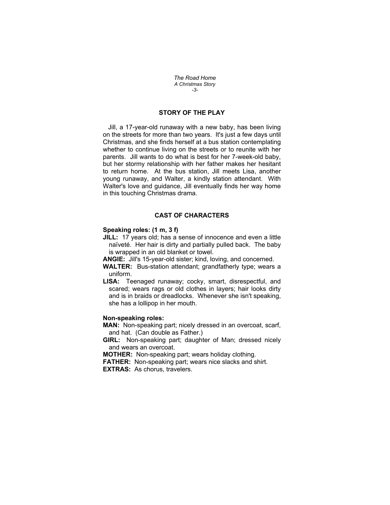*The Road Home A Christmas Story -3-* 

# **STORY OF THE PLAY**

 Jill, a 17-year-old runaway with a new baby, has been living on the streets for more than two years. It's just a few days until Christmas, and she finds herself at a bus station contemplating whether to continue living on the streets or to reunite with her parents. Jill wants to do what is best for her 7-week-old baby, but her stormy relationship with her father makes her hesitant to return home. At the bus station, Jill meets Lisa, another young runaway, and Walter, a kindly station attendant. With Walter's love and guidance, Jill eventually finds her way home in this touching Christmas drama.

## **CAST OF CHARACTERS**

## **Speaking roles: (1 m, 3 f)**

- **JILL:** 17 years old; has a sense of innocence and even a little naïveté. Her hair is dirty and partially pulled back. The baby is wrapped in an old blanket or towel.
- **ANGIE:** Jill's 15-year-old sister; kind, loving, and concerned.
- **WALTER:** Bus-station attendant; grandfatherly type; wears a uniform.
- **LISA:** Teenaged runaway; cocky, smart, disrespectful, and scared; wears rags or old clothes in layers; hair looks dirty and is in braids or dreadlocks. Whenever she isn't speaking, she has a lollipop in her mouth.

#### **Non-speaking roles:**

**MAN:** Non-speaking part; nicely dressed in an overcoat, scarf, and hat. (Can double as Father.)

**GIRL:** Non-speaking part; daughter of Man; dressed nicely and wears an overcoat.

**MOTHER:** Non-speaking part; wears holiday clothing.

**FATHER:** Non-speaking part; wears nice slacks and shirt. **EXTRAS:** As chorus, travelers.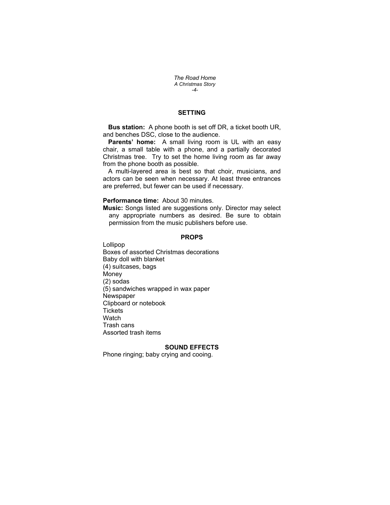*The Road Home A Christmas Story -4-* 

# **SETTING**

 **Bus station:** A phone booth is set off DR, a ticket booth UR, and benches DSC, close to the audience.

 **Parents' home:** A small living room is UL with an easy chair, a small table with a phone, and a partially decorated Christmas tree. Try to set the home living room as far away from the phone booth as possible.

A multi-layered area is best so that choir, musicians, and actors can be seen when necessary. At least three entrances are preferred, but fewer can be used if necessary.

## **Performance time:** About 30 minutes.

**Music:** Songs listed are suggestions only. Director may select any appropriate numbers as desired. Be sure to obtain permission from the music publishers before use.

## **PROPS**

Lollipop Boxes of assorted Christmas decorations Baby doll with blanket (4) suitcases, bags Money (2) sodas (5) sandwiches wrapped in wax paper Newspaper Clipboard or notebook **Tickets Watch** Trash cans Assorted trash items

## **SOUND EFFECTS**

Phone ringing; baby crying and cooing.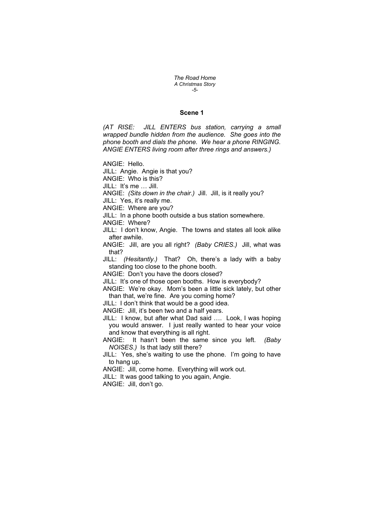*The Road Home A Christmas Story -5-* 

## **Scene 1**

*(AT RISE: JILL ENTERS bus station, carrying a small wrapped bundle hidden from the audience. She goes into the phone booth and dials the phone. We hear a phone RINGING. ANGIE ENTERS living room after three rings and answers.)* 

ANGIE: Hello.

JILL: Angie. Angie is that you?

ANGIE: Who is this?

JILL: It's me … Jill.

ANGIE: *(Sits down in the chair.)* Jill. Jill, is it really you?

JILL: Yes, it's really me.

ANGIE: Where are you?

JILL: In a phone booth outside a bus station somewhere.

ANGIE: Where?

JILL: I don't know, Angie. The towns and states all look alike after awhile.

ANGIE: Jill, are you all right? *(Baby CRIES.)* Jill, what was that?

JILL: *(Hesitantly.)* That? Oh, there's a lady with a baby standing too close to the phone booth.

ANGIE: Don't you have the doors closed?

JILL: It's one of those open booths. How is everybody?

ANGIE: We're okay. Mom's been a little sick lately, but other than that, we're fine. Are you coming home?

JILL: I don't think that would be a good idea.

ANGIE: Jill, it's been two and a half years.

JILL: I know, but after what Dad said …. Look, I was hoping you would answer. I just really wanted to hear your voice and know that everything is all right.

ANGIE: It hasn't been the same since you left. *(Baby NOISES.)* Is that lady still there?

JILL: Yes, she's waiting to use the phone. I'm going to have to hang up.

ANGIE: Jill, come home. Everything will work out.

JILL: It was good talking to you again, Angie.

ANGIE: Jill, don't go.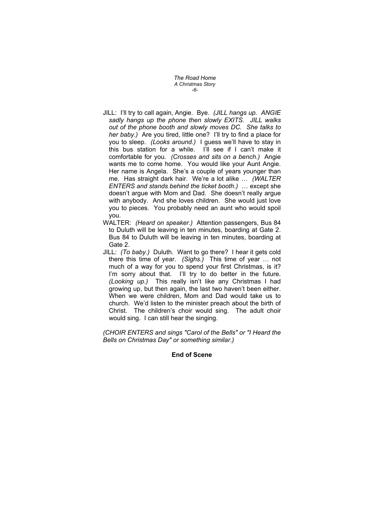*The Road Home A Christmas Story -6-* 

- JILL: I'll try to call again, Angie. Bye. *(JILL hangs up. ANGIE sadly hangs up the phone then slowly EXITS. JILL walks out of the phone booth and slowly moves DC. She talks to her baby.)* Are you tired, little one? I'll try to find a place for you to sleep. *(Looks around.)* I guess we'll have to stay in this bus station for a while. I'll see if I can't make it comfortable for you. *(Crosses and sits on a bench.)* Angie wants me to come home. You would like your Aunt Angie. Her name is Angela. She's a couple of years younger than me. Has straight dark hair. We're a lot alike … *(WALTER ENTERS and stands behind the ticket booth.)* … except she doesn't argue with Mom and Dad. She doesn't really argue with anybody. And she loves children. She would just love you to pieces. You probably need an aunt who would spoil you.
- WALTER: *(Heard on speaker.)* Attention passengers, Bus 84 to Duluth will be leaving in ten minutes, boarding at Gate 2. Bus 84 to Duluth will be leaving in ten minutes, boarding at Gate 2.
- JILL: *(To baby.)* Duluth. Want to go there? I hear it gets cold there this time of year. *(Sighs.)* This time of year … not much of a way for you to spend your first Christmas, is it? I'm sorry about that. I'll try to do better in the future. *(Looking up.)* This really isn't like any Christmas I had growing up, but then again, the last two haven't been either. When we were children, Mom and Dad would take us to church. We'd listen to the minister preach about the birth of Christ. The children's choir would sing. The adult choir would sing. I can still hear the singing.

*(CHOIR ENTERS and sings "Carol of the Bells" or "I Heard the Bells on Christmas Day" or something similar.)* 

# **End of Scene**